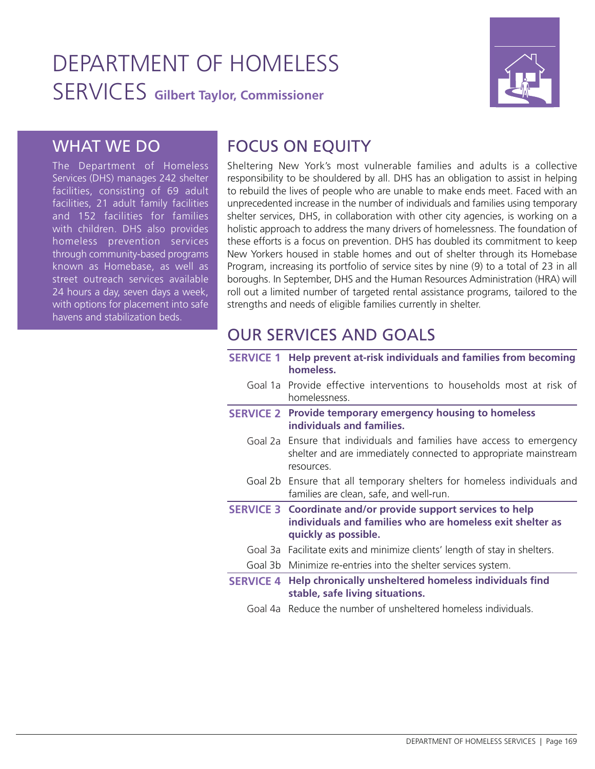# DEPARTMENT OF HOMELESS SERVICES **Gilbert Taylor, Commissioner**



### WHAT WE DO

The Department of Homeless Services (DHS) manages 242 shelter facilities, consisting of 69 adult facilities, 21 adult family facilities and 152 facilities for families with children. DHS also provides homeless prevention services through community-based programs known as Homebase, as well as street outreach services available 24 hours a day, seven days a week, with options for placement into safe havens and stabilization beds.

## FOCUS ON EQUITY

Sheltering New York's most vulnerable families and adults is a collective responsibility to be shouldered by all. DHS has an obligation to assist in helping to rebuild the lives of people who are unable to make ends meet. Faced with an unprecedented increase in the number of individuals and families using temporary shelter services, DHS, in collaboration with other city agencies, is working on a holistic approach to address the many drivers of homelessness. The foundation of these efforts is a focus on prevention. DHS has doubled its commitment to keep New Yorkers housed in stable homes and out of shelter through its Homebase Program, increasing its portfolio of service sites by nine (9) to a total of 23 in all boroughs. In September, DHS and the Human Resources Administration (HRA) will roll out a limited number of targeted rental assistance programs, tailored to the strengths and needs of eligible families currently in shelter.

## OUR SERVICES AND GOALS

| <b>SERVICE 1</b> | Help prevent at-risk individuals and families from becoming<br>homeless.                                                                                 |
|------------------|----------------------------------------------------------------------------------------------------------------------------------------------------------|
|                  | Goal 1a Provide effective interventions to households most at risk of<br>homelessness.                                                                   |
|                  | <b>SERVICE 2</b> Provide temporary emergency housing to homeless<br>individuals and families.                                                            |
|                  | Goal 2a Ensure that individuals and families have access to emergency<br>shelter and are immediately connected to appropriate mainstream<br>resources.   |
|                  | Goal 2b Ensure that all temporary shelters for homeless individuals and<br>families are clean, safe, and well-run.                                       |
|                  | <b>SERVICE 3 Coordinate and/or provide support services to help</b><br>individuals and families who are homeless exit shelter as<br>quickly as possible. |
|                  | Goal 3a Facilitate exits and minimize clients' length of stay in shelters.                                                                               |
|                  | Goal 3b Minimize re-entries into the shelter services system.                                                                                            |
|                  | SERVICE 4 Help chronically unsheltered homeless individuals find<br>stable, safe living situations.                                                      |
|                  | Goal 4a. Reduce the number of unsheltered homeless individuals.                                                                                          |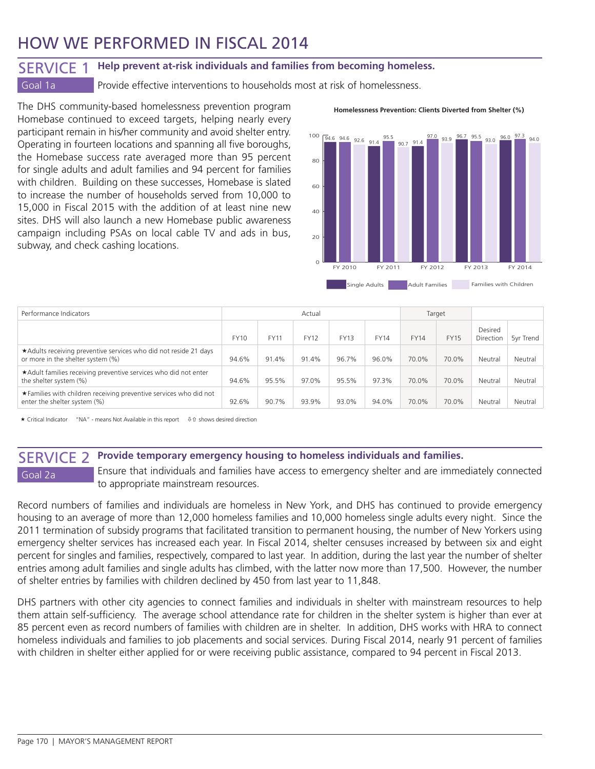## HOW WE PERFORMED IN FISCAL 2014

## SERVICE 1 **Help prevent at-risk individuals and families from becoming homeless.**

Goal 1a **Provide effective interventions to households most at risk of homelessness.** 

The DHS community-based homelessness prevention program Homebase continued to exceed targets, helping nearly every participant remain in his/her community and avoid shelter entry. Operating in fourteen locations and spanning all five boroughs, the Homebase success rate averaged more than 95 percent for single adults and adult families and 94 percent for families with children. Building on these successes, Homebase is slated to increase the number of households served from 10,000 to 15,000 in Fiscal 2015 with the addition of at least nine new sites. DHS will also launch a new Homebase public awareness campaign including PSAs on local cable TV and ads in bus, subway, and check cashing locations.

### **Homelessness Prevention: Clients Diverted from Shelter (%)**



| Performance Indicators                                                                                |             |             | Actual      |             | Target      |             |             |                      |           |
|-------------------------------------------------------------------------------------------------------|-------------|-------------|-------------|-------------|-------------|-------------|-------------|----------------------|-----------|
|                                                                                                       | <b>FY10</b> | <b>FY11</b> | <b>FY12</b> | <b>FY13</b> | <b>FY14</b> | <b>FY14</b> | <b>FY15</b> | Desired<br>Direction | 5vr Trend |
| *Adults receiving preventive services who did not reside 21 days<br>or more in the shelter system (%) | 94.6%       | 91.4%       | 91.4%       | 96.7%       | 96.0%       | 70.0%       | 70.0%       | Neutral              | Neutral   |
| *Adult families receiving preventive services who did not enter<br>the shelter system (%)             | 94.6%       | 95.5%       | 97.0%       | 95.5%       | 97.3%       | 70.0%       | 70.0%       | Neutral              | Neutral   |
| *Families with children receiving preventive services who did not<br>enter the shelter system (%)     | 92.6%       | 90.7%       | 93.9%       | 93.0%       | 94.0%       | 70.0%       | 70.0%       | Neutral              | Neutral   |

 $\star$  Critical Indicator "NA" - means Not Available in this report  $\theta$  is shows desired direction

### SERVICE 2 **Provide temporary emergency housing to homeless individuals and families.**

Goal 2a **Ensure that individuals and families have access to emergency shelter and are immediately connected** to appropriate mainstream resources.

Record numbers of families and individuals are homeless in New York, and DHS has continued to provide emergency housing to an average of more than 12,000 homeless families and 10,000 homeless single adults every night. Since the 2011 termination of subsidy programs that facilitated transition to permanent housing, the number of New Yorkers using emergency shelter services has increased each year. In Fiscal 2014, shelter censuses increased by between six and eight percent for singles and families, respectively, compared to last year. In addition, during the last year the number of shelter entries among adult families and single adults has climbed, with the latter now more than 17,500. However, the number of shelter entries by families with children declined by 450 from last year to 11,848.

DHS partners with other city agencies to connect families and individuals in shelter with mainstream resources to help them attain self-sufficiency. The average school attendance rate for children in the shelter system is higher than ever at 85 percent even as record numbers of families with children are in shelter. In addition, DHS works with HRA to connect homeless individuals and families to job placements and social services. During Fiscal 2014, nearly 91 percent of families with children in shelter either applied for or were receiving public assistance, compared to 94 percent in Fiscal 2013.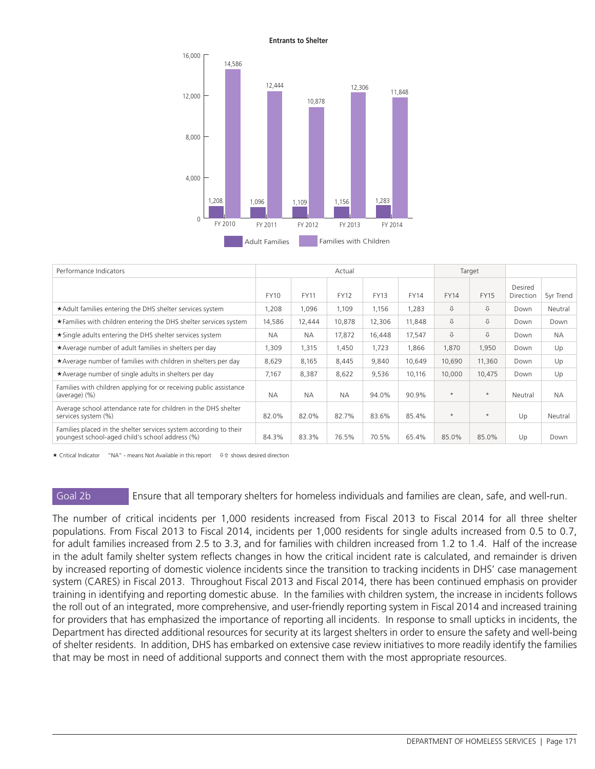### **Entrants to Shelter**



| Performance Indicators                                                                                               |             | Actual      |             |             |             |             |             |                      |           |
|----------------------------------------------------------------------------------------------------------------------|-------------|-------------|-------------|-------------|-------------|-------------|-------------|----------------------|-----------|
|                                                                                                                      | <b>FY10</b> | <b>FY11</b> | <b>FY12</b> | <b>FY13</b> | <b>FY14</b> | <b>FY14</b> | <b>FY15</b> | Desired<br>Direction | 5yr Trend |
| *Adult families entering the DHS shelter services system                                                             | 1,208       | 1,096       | 1,109       | 1,156       | 1,283       | ⇩           | ⇩           | Down                 | Neutral   |
| ★ Families with children entering the DHS shelter services system                                                    | 14,586      | 12,444      | 10,878      | 12,306      | 11,848      | ⇩           | ⇩           | Down                 | Down      |
| ★ Single adults entering the DHS shelter services system                                                             | <b>NA</b>   | <b>NA</b>   | 17,872      | 16,448      | 17,547      | ⇩           | ⇩           | Down                 | <b>NA</b> |
| *Average number of adult families in shelters per day                                                                |             | 1,315       | 1,450       | 1,723       | 1,866       | 1,870       | 1,950       | Down                 | Up        |
| *Average number of families with children in shelters per day                                                        | 8,629       | 8,165       | 8,445       | 9,840       | 10,649      | 10,690      | 11,360      | Down                 | Up        |
| *Average number of single adults in shelters per day                                                                 | 7,167       | 8,387       | 8,622       | 9,536       | 10.116      | 10,000      | 10,475      | Down                 | Up        |
| Families with children applying for or receiving public assistance<br>(average) (%)                                  |             | <b>NA</b>   | <b>NA</b>   | 94.0%       | 90.9%       | $\star$     | $\star$     | Neutral              | <b>NA</b> |
| Average school attendance rate for children in the DHS shelter<br>services system (%)                                |             | 82.0%       | 82.7%       | 83.6%       | 85.4%       | $\star$     | $\star$     | Up                   | Neutral   |
| Families placed in the shelter services system according to their<br>youngest school-aged child's school address (%) | 84.3%       | 83.3%       | 76.5%       | 70.5%       | 65.4%       | 85.0%       | 85.0%       | Up                   | Down      |

 $\star$  Critical Indicator "NA" - means Not Available in this report  $\quad \oplus \, \hat{ }$  shows desired direction

Goal 2b Ensure that all temporary shelters for homeless individuals and families are clean, safe, and well-run.

The number of critical incidents per 1,000 residents increased from Fiscal 2013 to Fiscal 2014 for all three shelter populations. From Fiscal 2013 to Fiscal 2014, incidents per 1,000 residents for single adults increased from 0.5 to 0.7, for adult families increased from 2.5 to 3.3, and for families with children increased from 1.2 to 1.4. Half of the increase in the adult family shelter system reflects changes in how the critical incident rate is calculated, and remainder is driven by increased reporting of domestic violence incidents since the transition to tracking incidents in DHS' case management system (CARES) in Fiscal 2013. Throughout Fiscal 2013 and Fiscal 2014, there has been continued emphasis on provider training in identifying and reporting domestic abuse. In the families with children system, the increase in incidents follows the roll out of an integrated, more comprehensive, and user-friendly reporting system in Fiscal 2014 and increased training for providers that has emphasized the importance of reporting all incidents. In response to small upticks in incidents, the Department has directed additional resources for security at its largest shelters in order to ensure the safety and well-being of shelter residents. In addition, DHS has embarked on extensive case review initiatives to more readily identify the families that may be most in need of additional supports and connect them with the most appropriate resources.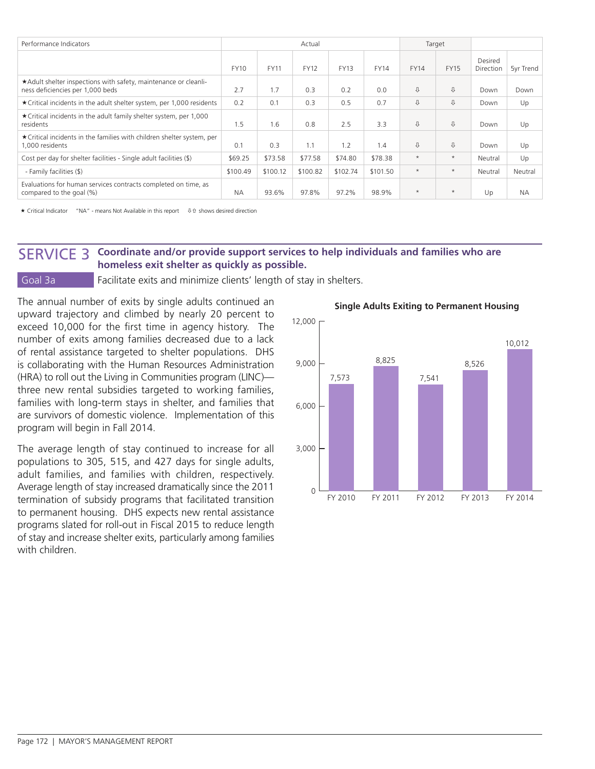| Performance Indicators                                                                              |             |             | Actual      |             |             | Target      |             |                      |           |
|-----------------------------------------------------------------------------------------------------|-------------|-------------|-------------|-------------|-------------|-------------|-------------|----------------------|-----------|
|                                                                                                     | <b>FY10</b> | <b>FY11</b> | <b>FY12</b> | <b>FY13</b> | <b>FY14</b> | <b>FY14</b> | <b>FY15</b> | Desired<br>Direction | 5yr Trend |
| *Adult shelter inspections with safety, maintenance or cleanli-<br>ness deficiencies per 1,000 beds | 2.7         | 1.7         | 0.3         | 0.2         | 0.0         | ⇩           | ⇩           | Down                 | Down      |
| ★ Critical incidents in the adult shelter system, per 1,000 residents                               | 0.2         | 0.1         | 0.3         | 0.5         | 0.7         | ⇩           | ⇩           | Down                 | Up        |
| ★ Critical incidents in the adult family shelter system, per 1,000<br>residents                     |             | 1.6         | 0.8         | 2.5         | 3.3         | ⇩           | ⇩           | Down                 | Up        |
| ★ Critical incidents in the families with children shelter system, per<br>1.000 residents           |             | 0.3         | 1.1         | 1.2         | 1.4         | ⇩           | ⇩           | Down                 | Up        |
| Cost per day for shelter facilities - Single adult facilities (\$)                                  | \$69.25     | \$73.58     | \$77.58     | \$74.80     | \$78.38     | $\star$     | $\star$     | Neutral              | Up        |
| - Family facilities (\$)                                                                            |             | \$100.12    | \$100.82    | \$102.74    | \$101.50    | $\star$     | $\star$     | Neutral              | Neutral   |
| Evaluations for human services contracts completed on time, as<br>compared to the goal (%)          |             | 93.6%       | 97.8%       | 97.2%       | 98.9%       | $\star$     | $\star$     | Up                   | <b>NA</b> |

 $\star$  Critical Indicator "NA" - means Not Available in this report  $\quad \oplus \text{ of } s$  shows desired direction

### SERVICE 3 **Coordinate and/or provide support services to help individuals and families who are homeless exit shelter as quickly as possible.**

Goal 3a **Facilitate exits and minimize clients' length of stay in shelters.** 

The annual number of exits by single adults continued an upward trajectory and climbed by nearly 20 percent to exceed 10,000 for the first time in agency history. The number of exits among families decreased due to a lack of rental assistance targeted to shelter populations. DHS is collaborating with the Human Resources Administration (HRA) to roll out the Living in Communities program (LINC) three new rental subsidies targeted to working families, families with long-term stays in shelter, and families that are survivors of domestic violence. Implementation of this program will begin in Fall 2014.

The average length of stay continued to increase for all populations to 305, 515, and 427 days for single adults, adult families, and families with children, respectively. Average length of stay increased dramatically since the 2011 termination of subsidy programs that facilitated transition to permanent housing. DHS expects new rental assistance programs slated for roll-out in Fiscal 2015 to reduce length of stay and increase shelter exits, particularly among families with children



### **Single Adults Exiting to Permanent Housing**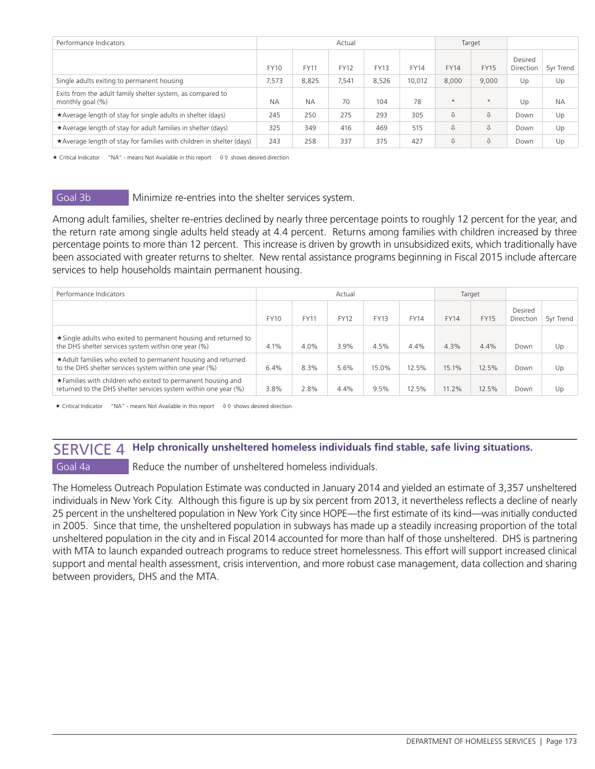| Performance Indicators                                                         |             | Actual<br>Target |             |             |             |             |             |                      |           |
|--------------------------------------------------------------------------------|-------------|------------------|-------------|-------------|-------------|-------------|-------------|----------------------|-----------|
|                                                                                | <b>FY10</b> | <b>FY11</b>      | <b>FY12</b> | <b>FY13</b> | <b>FY14</b> | <b>FY14</b> | <b>FY15</b> | Desired<br>Direction | 5yr Trend |
| Single adults exiting to permanent housing                                     | 7,573       | 8,825            | 7,541       | 8,526       | 10.012      | 8,000       | 9,000       | Up                   | Up        |
| Exits from the adult family shelter system, as compared to<br>monthly goal (%) | <b>NA</b>   | <b>NA</b>        | 70          | 104         | 78          | $\star$     | $\star$     | Up                   | <b>NA</b> |
| ★Average length of stay for single adults in shelter (days)                    | 245         | 250              | 275         | 293         | 305         | ⇩           | ⇩           | Down                 | Up        |
| *Average length of stay for adult families in shelter (days)                   |             | 349              | 416         | 469         | 515         | ⇩           | ⇩           | Down                 | Up        |
| *Average length of stay for families with children in shelter (days)           | 243         | 258              | 337         | 375         | 427         | ⇩           | ⇩           | Down                 | Up        |

 $\star$  Critical Indicator "NA" - means Not Available in this report  $\theta$  of shows desired direction

### Goal 3b Minimize re-entries into the shelter services system.

Among adult families, shelter re-entries declined by nearly three percentage points to roughly 12 percent for the year, and the return rate among single adults held steady at 4.4 percent. Returns among families with children increased by three percentage points to more than 12 percent. This increase is driven by growth in unsubsidized exits, which traditionally have been associated with greater returns to shelter. New rental assistance programs beginning in Fiscal 2015 include aftercare services to help households maintain permanent housing.

| Performance Indicators                                                                                                          |             |             | Actual      |             | Target      |             |             |                      |           |
|---------------------------------------------------------------------------------------------------------------------------------|-------------|-------------|-------------|-------------|-------------|-------------|-------------|----------------------|-----------|
|                                                                                                                                 | <b>FY10</b> | <b>FY11</b> | <b>FY12</b> | <b>FY13</b> | <b>FY14</b> | <b>FY14</b> | <b>FY15</b> | Desired<br>Direction | 5yr Trend |
| ★ Single adults who exited to permanent housing and returned to<br>the DHS shelter services system within one year (%)          | 4.1%        | 4.0%        | 3.9%        | 4.5%        | 4.4%        | 4.3%        | 4.4%        | Down                 | Up        |
| *Adult families who exited to permanent housing and returned<br>to the DHS shelter services system within one year (%)          | 6.4%        | 8.3%        | 5.6%        | 15.0%       | 12.5%       | 15.1%       | 12.5%       | Down                 | Up        |
| ★ Families with children who exited to permanent housing and<br>returned to the DHS shelter services system within one year (%) | 3.8%        | 2.8%        | 4.4%        | 9.5%        | 12.5%       | 11.2%       | 12.5%       | Down                 | Up        |

 $\star$  Critical Indicator "NA" - means Not Available in this report  $\quad \oplus \text{ of } s$  shows desired direction

### SERVICE 4 **Help chronically unsheltered homeless individuals find stable, safe living situations.**

### Goal 4a Reduce the number of unsheltered homeless individuals.

The Homeless Outreach Population Estimate was conducted in January 2014 and yielded an estimate of 3,357 unsheltered individuals in New York City. Although this figure is up by six percent from 2013, it nevertheless reflects a decline of nearly 25 percent in the unsheltered population in New York City since HOPE—the first estimate of its kind—was initially conducted in 2005. Since that time, the unsheltered population in subways has made up a steadily increasing proportion of the total unsheltered population in the city and in Fiscal 2014 accounted for more than half of those unsheltered. DHS is partnering with MTA to launch expanded outreach programs to reduce street homelessness. This effort will support increased clinical support and mental health assessment, crisis intervention, and more robust case management, data collection and sharing between providers, DHS and the MTA.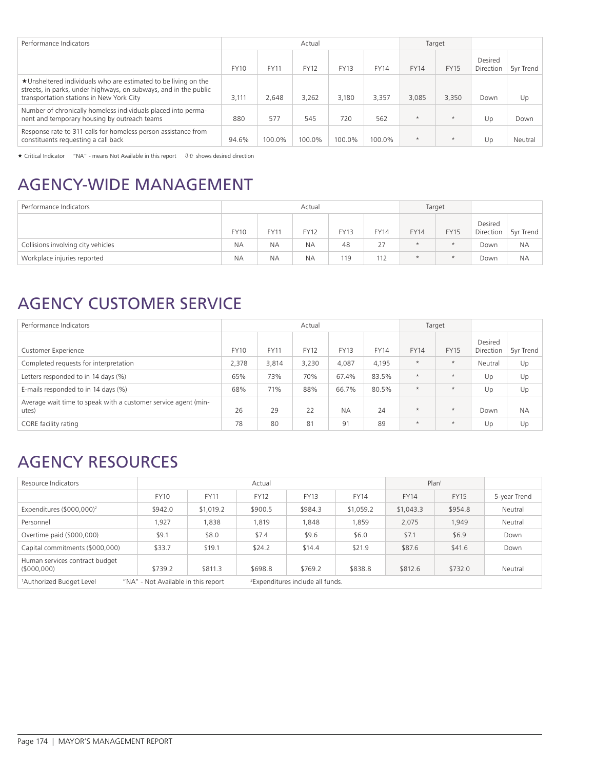| Performance Indicators                                                                                                                                                         |             | Actual<br>Target |             |             |             |             |             |                      |           |
|--------------------------------------------------------------------------------------------------------------------------------------------------------------------------------|-------------|------------------|-------------|-------------|-------------|-------------|-------------|----------------------|-----------|
|                                                                                                                                                                                | <b>FY10</b> | <b>FY11</b>      | <b>FY12</b> | <b>FY13</b> | <b>FY14</b> | <b>FY14</b> | <b>FY15</b> | Desired<br>Direction | 5vr Trend |
| ★Unsheltered individuals who are estimated to be living on the<br>streets, in parks, under highways, on subways, and in the public<br>transportation stations in New York City | 3.111       | 2.648            | 3.262       | 3.180       | 3.357       | 3.085       | 3,350       | Down                 | Up        |
| Number of chronically homeless individuals placed into perma-<br>nent and temporary housing by outreach teams                                                                  | 880         | 577              | 545         | 720         | 562         | $\star$     | $\star$     | Up                   | Down      |
| Response rate to 311 calls for homeless person assistance from<br>constituents requesting a call back                                                                          | 94.6%       | 100.0%           | 100.0%      | 100.0%      | 100.0%      | $\star$     | $\star$     | Up                   | Neutral   |

 $\star$  Critical Indicator "NA" - means Not Available in this report  $\theta$  is shows desired direction

## AGENCY-WIDE MANAGEMENT

| Performance Indicators             | Actual      |                  |             |             |             |             | Target      |                      |           |
|------------------------------------|-------------|------------------|-------------|-------------|-------------|-------------|-------------|----------------------|-----------|
|                                    | <b>FY10</b> | FY1 <sup>.</sup> | <b>FY12</b> | <b>FY13</b> | <b>FY14</b> | <b>FY14</b> | <b>FY15</b> | Desired<br>Direction | 5yr Trend |
| Collisions involving city vehicles | <b>NA</b>   | <b>NA</b>        | <b>NA</b>   | 48          | 27          | $\star$     | $\star$     | Down                 | <b>NA</b> |
| Workplace injuries reported        | <b>NA</b>   | <b>NA</b>        | <b>NA</b>   | 119         | 112         | $\star$     | $\star$     | Down                 | NА        |

## AGENCY CUSTOMER SERVICE

| Performance Indicators                                                  | Actual      |             |             |             |             |             | Target      |                      |           |
|-------------------------------------------------------------------------|-------------|-------------|-------------|-------------|-------------|-------------|-------------|----------------------|-----------|
| <b>Customer Experience</b>                                              | <b>FY10</b> | <b>FY11</b> | <b>FY12</b> | <b>FY13</b> | <b>FY14</b> | <b>FY14</b> | <b>FY15</b> | Desired<br>Direction | 5yr Trend |
| Completed requests for interpretation                                   | 2,378       | 3,814       | 3,230       | 4,087       | 4,195       | $\star$     | $\star$     | Neutral              | Up        |
| Letters responded to in 14 days (%)                                     | 65%         | 73%         | 70%         | 67.4%       | 83.5%       | $\star$     | $\star$     | Up                   | Up        |
| E-mails responded to in 14 days (%)                                     | 68%         | 71%         | 88%         | 66.7%       | 80.5%       | $\star$     | $\star$     | Up                   | Up        |
| Average wait time to speak with a customer service agent (min-<br>utes) | 26          | 29          | 22          | <b>NA</b>   | 24          | $\star$     | $\star$     | Down                 | <b>NA</b> |
| CORE facility rating                                                    | 78          | 80          | 81          | 91          | 89          | $\star$     | $\star$     | Up                   | Up        |

## AGENCY RESOURCES

| Resource Indicators                                                         |             |                                              | Actual      |             | Plan <sup>1</sup> |             |             |              |  |
|-----------------------------------------------------------------------------|-------------|----------------------------------------------|-------------|-------------|-------------------|-------------|-------------|--------------|--|
|                                                                             | <b>FY10</b> | <b>FY11</b>                                  | <b>FY12</b> | <b>FY13</b> | <b>FY14</b>       | <b>FY14</b> | <b>FY15</b> | 5-year Trend |  |
| Expenditures (\$000,000) <sup>2</sup>                                       | \$942.0     | \$1,019.2                                    | \$900.5     | \$984.3     | \$1,059.2         | \$1,043.3   | \$954.8     | Neutral      |  |
| Personnel                                                                   | .927        | .838                                         | 1.819       | .848        | 1.859             | 2.075       | 1.949       | Neutral      |  |
| Overtime paid (\$000,000)                                                   | \$9.1       | \$8.0                                        | \$7.4       | \$9.6       | \$6.0             | \$7.1       | \$6.9       | Down         |  |
| Capital commitments (\$000,000)                                             | \$33.7      | \$19.1                                       | \$24.2      | \$14.4      | \$21.9            | \$87.6      | \$41.6      | Down         |  |
| Human services contract budget<br>(5000,000)                                | \$739.2     | \$811.3                                      | \$698.8     | \$769.2     | \$838.8           | \$812.6     | \$732.0     | Neutral      |  |
| "NA" - Not Available in this report<br><sup>1</sup> Authorized Budget Level |             | <sup>2</sup> Expenditures include all funds. |             |             |                   |             |             |              |  |